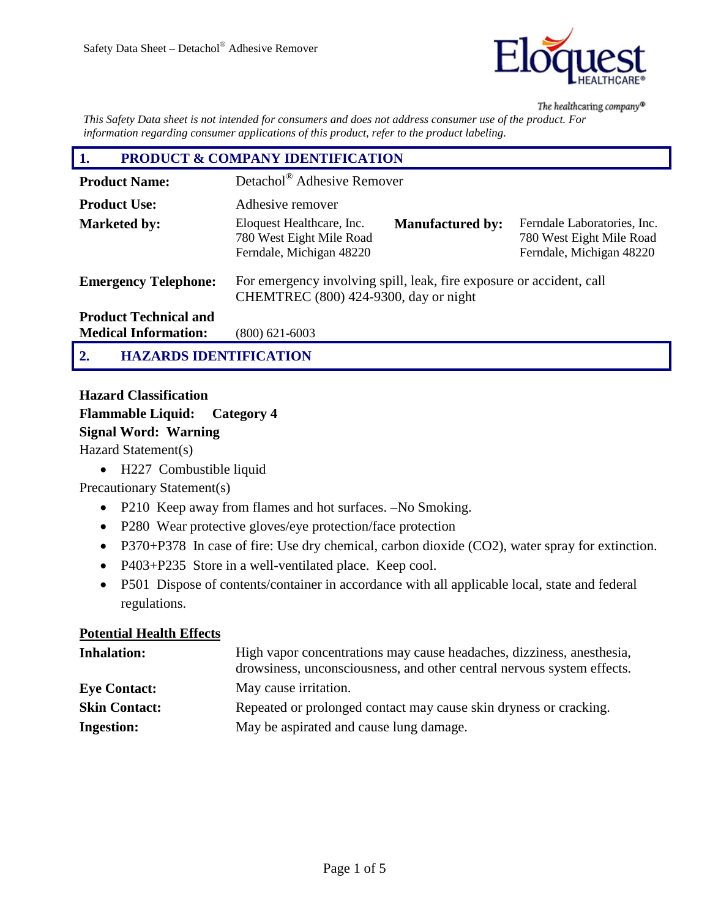

The healthcaring company®

*This Safety Data sheet is not intended for consumers and does not address consumer use of the product. For information regarding consumer applications of this product, refer to the product labeling.*

| <b>PRODUCT &amp; COMPANY IDENTIFICATION</b><br>1.           |                                                                                                               |                                                                                     |
|-------------------------------------------------------------|---------------------------------------------------------------------------------------------------------------|-------------------------------------------------------------------------------------|
| <b>Product Name:</b>                                        | Detachol <sup>®</sup> Adhesive Remover                                                                        |                                                                                     |
| <b>Product Use:</b>                                         | Adhesive remover                                                                                              |                                                                                     |
| <b>Marketed by:</b>                                         | Eloquest Healthcare, Inc.<br><b>Manufactured by:</b><br>780 West Eight Mile Road<br>Ferndale, Michigan 48220  | Ferndale Laboratories, Inc.<br>780 West Eight Mile Road<br>Ferndale, Michigan 48220 |
| <b>Emergency Telephone:</b>                                 | For emergency involving spill, leak, fire exposure or accident, call<br>CHEMTREC (800) 424-9300, day or night |                                                                                     |
| <b>Product Technical and</b><br><b>Medical Information:</b> | $(800)$ 621-6003                                                                                              |                                                                                     |
| <b>HAZARDS IDENTIFICATION</b><br>$\overline{2}$             |                                                                                                               |                                                                                     |

# **Hazard Classification Flammable Liquid: Category 4 Signal Word: Warning**

Hazard Statement(s)

• H227 Combustible liquid

Precautionary Statement(s)

- P210 Keep away from flames and hot surfaces. –No Smoking.
- P280 Wear protective gloves/eye protection/face protection
- P370+P378 In case of fire: Use dry chemical, carbon dioxide (CO2), water spray for extinction.
- P403+P235 Store in a well-ventilated place. Keep cool.
- P501 Dispose of contents/container in accordance with all applicable local, state and federal regulations.

#### **Potential Health Effects**

| <b>Inhalation:</b>   | High vapor concentrations may cause headaches, dizziness, anesthesia,<br>drowsiness, unconsciousness, and other central nervous system effects. |
|----------------------|-------------------------------------------------------------------------------------------------------------------------------------------------|
| <b>Eve Contact:</b>  | May cause irritation.                                                                                                                           |
| <b>Skin Contact:</b> | Repeated or prolonged contact may cause skin dryness or cracking.                                                                               |
| <b>Ingestion:</b>    | May be aspirated and cause lung damage.                                                                                                         |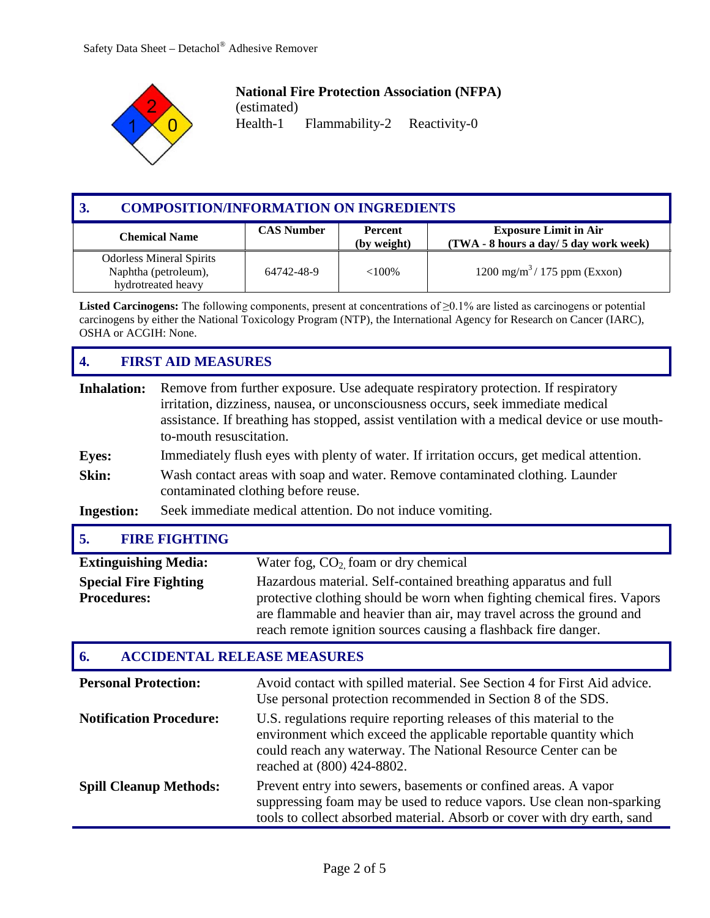

# **National Fire Protection Association (NFPA)**

(estimated) Flammability-2 Reactivity-0

| 3 <sub>1</sub><br><b>COMPOSITION/INFORMATION ON INGREDIENTS</b>                                            |            |                                        |                                                 |
|------------------------------------------------------------------------------------------------------------|------------|----------------------------------------|-------------------------------------------------|
| <b>CAS Number</b><br><b>Exposure Limit in Air</b><br><b>Percent</b><br><b>Chemical Name</b><br>(by weight) |            | (TWA - 8 hours a day/ 5 day work week) |                                                 |
| <b>Odorless Mineral Spirits</b><br>Naphtha (petroleum),<br>hydrotreated heavy                              | 64742-48-9 | $<100\%$                               | $1200 \text{ mg/m}^3 / 175 \text{ ppm}$ (Exxon) |

**Listed Carcinogens:** The following components, present at concentrations of ≥0.1% are listed as carcinogens or potential carcinogens by either the National Toxicology Program (NTP), the International Agency for Research on Cancer (IARC), OSHA or ACGIH: None.

# **4. FIRST AID MEASURES**

| <b>Inhalation:</b><br><b>Eyes:</b><br>Skin:<br><b>Ingestion:</b> | Remove from further exposure. Use adequate respiratory protection. If respiratory<br>irritation, dizziness, nausea, or unconsciousness occurs, seek immediate medical<br>assistance. If breathing has stopped, assist ventilation with a medical device or use mouth-<br>to-mouth resuscitation.<br>Immediately flush eyes with plenty of water. If irritation occurs, get medical attention.<br>Wash contact areas with soap and water. Remove contaminated clothing. Launder<br>contaminated clothing before reuse.<br>Seek immediate medical attention. Do not induce vomiting. |                                                                                                                                                                                                                                                                                                                                                                                     |
|------------------------------------------------------------------|------------------------------------------------------------------------------------------------------------------------------------------------------------------------------------------------------------------------------------------------------------------------------------------------------------------------------------------------------------------------------------------------------------------------------------------------------------------------------------------------------------------------------------------------------------------------------------|-------------------------------------------------------------------------------------------------------------------------------------------------------------------------------------------------------------------------------------------------------------------------------------------------------------------------------------------------------------------------------------|
| 5.                                                               | <b>FIRE FIGHTING</b>                                                                                                                                                                                                                                                                                                                                                                                                                                                                                                                                                               |                                                                                                                                                                                                                                                                                                                                                                                     |
| <b>Extinguishing Media:</b>                                      |                                                                                                                                                                                                                                                                                                                                                                                                                                                                                                                                                                                    | Water fog, $CO2$ foam or dry chemical                                                                                                                                                                                                                                                                                                                                               |
| <b>Special Fire Fighting</b><br><b>Procedures:</b>               |                                                                                                                                                                                                                                                                                                                                                                                                                                                                                                                                                                                    | Hazardous material. Self-contained breathing apparatus and full<br>protective clothing should be worn when fighting chemical fires. Vapors<br>are flammable and heavier than air, may travel across the ground and<br>reach remote ignition sources causing a flashback fire danger.                                                                                                |
| 6.                                                               |                                                                                                                                                                                                                                                                                                                                                                                                                                                                                                                                                                                    | <b>ACCIDENTAL RELEASE MEASURES</b>                                                                                                                                                                                                                                                                                                                                                  |
| <b>Personal Protection:</b><br><b>Notification Procedure:</b>    |                                                                                                                                                                                                                                                                                                                                                                                                                                                                                                                                                                                    | Avoid contact with spilled material. See Section 4 for First Aid advice.<br>Use personal protection recommended in Section 8 of the SDS.<br>U.S. regulations require reporting releases of this material to the<br>environment which exceed the applicable reportable quantity which<br>could reach any waterway. The National Resource Center can be<br>reached at (800) 424-8802. |
| <b>Spill Cleanup Methods:</b>                                    |                                                                                                                                                                                                                                                                                                                                                                                                                                                                                                                                                                                    | Prevent entry into sewers, basements or confined areas. A vapor<br>suppressing foam may be used to reduce vapors. Use clean non-sparking<br>tools to collect absorbed material. Absorb or cover with dry earth, sand                                                                                                                                                                |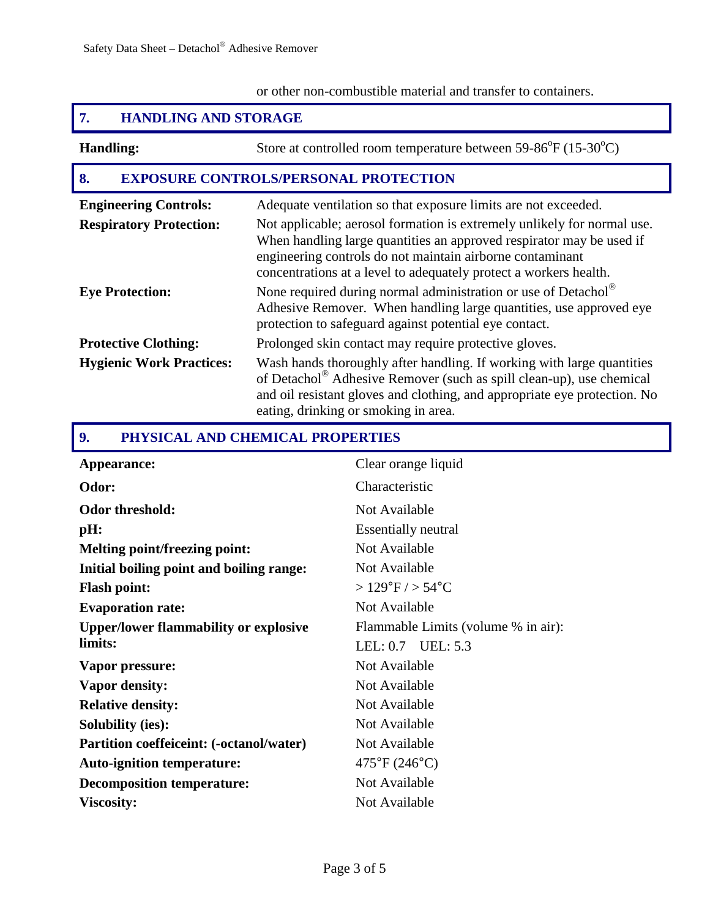## or other non-combustible material and transfer to containers.

# **7. HANDLING AND STORAGE**

| <b>Handling:</b>                                               | Store at controlled room temperature between $59-86^{\circ}F (15-30^{\circ}C)$                                                                                                                                                                                                                                                                      |
|----------------------------------------------------------------|-----------------------------------------------------------------------------------------------------------------------------------------------------------------------------------------------------------------------------------------------------------------------------------------------------------------------------------------------------|
| 8.<br><b>EXPOSURE CONTROLS/PERSONAL PROTECTION</b>             |                                                                                                                                                                                                                                                                                                                                                     |
| <b>Engineering Controls:</b><br><b>Respiratory Protection:</b> | Adequate ventilation so that exposure limits are not exceeded.<br>Not applicable; aerosol formation is extremely unlikely for normal use.<br>When handling large quantities an approved respirator may be used if<br>engineering controls do not maintain airborne contaminant<br>concentrations at a level to adequately protect a workers health. |
| <b>Eye Protection:</b>                                         | None required during normal administration or use of Detachol®<br>Adhesive Remover. When handling large quantities, use approved eye<br>protection to safeguard against potential eye contact.                                                                                                                                                      |
| <b>Protective Clothing:</b>                                    | Prolonged skin contact may require protective gloves.                                                                                                                                                                                                                                                                                               |
| <b>Hygienic Work Practices:</b>                                | Wash hands thoroughly after handling. If working with large quantities<br>of Detachol <sup>®</sup> Adhesive Remover (such as spill clean-up), use chemical<br>and oil resistant gloves and clothing, and appropriate eye protection. No<br>eating, drinking or smoking in area.                                                                     |

## **9. PHYSICAL AND CHEMICAL PROPERTIES**

| Appearance:                                     | Clear orange liquid                 |
|-------------------------------------------------|-------------------------------------|
| Odor:                                           | Characteristic                      |
| <b>Odor threshold:</b>                          | Not Available                       |
| pH:                                             | <b>Essentially neutral</b>          |
| <b>Melting point/freezing point:</b>            | Not Available                       |
| Initial boiling point and boiling range:        | Not Available                       |
| <b>Flash point:</b>                             | $>129^{\circ}F/ > 54^{\circ}C$      |
| <b>Evaporation rate:</b>                        | Not Available                       |
| <b>Upper/lower flammability or explosive</b>    | Flammable Limits (volume % in air): |
| limits:                                         | LEL: $0.7$ UEL: $5.3$               |
| Vapor pressure:                                 | Not Available                       |
| <b>Vapor density:</b>                           | Not Available                       |
| <b>Relative density:</b>                        | Not Available                       |
| <b>Solubility (ies):</b>                        | Not Available                       |
| <b>Partition coeffeiceint: (-octanol/water)</b> | Not Available                       |
| <b>Auto-ignition temperature:</b>               | $475^{\circ}F(246^{\circ}C)$        |
| <b>Decomposition temperature:</b>               | Not Available                       |
| <b>Viscosity:</b>                               | Not Available                       |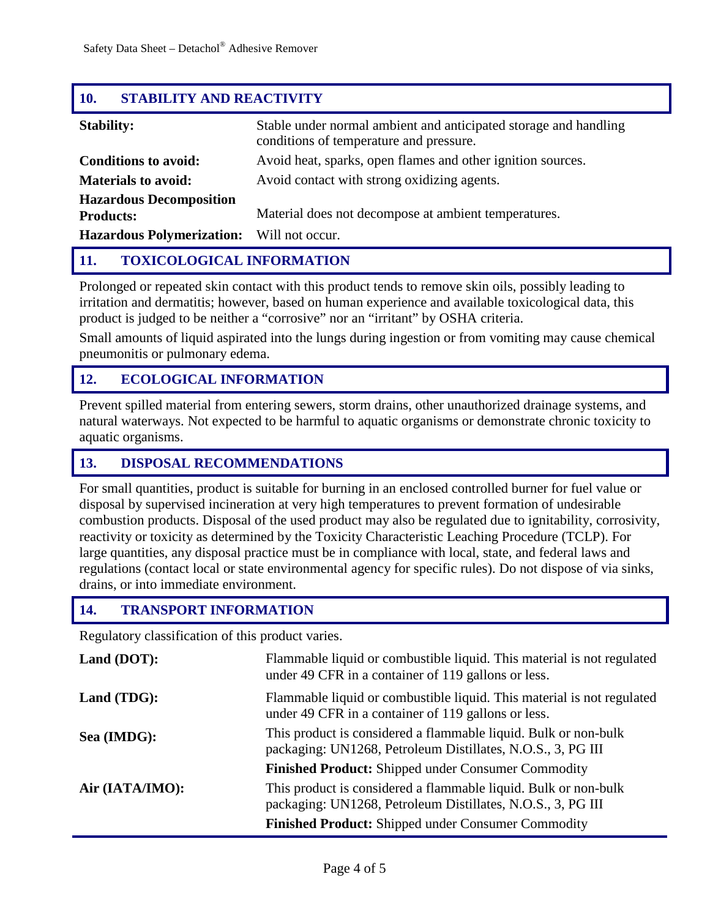## **10. STABILITY AND REACTIVITY**

| <b>Stability:</b>                                  | Stable under normal ambient and anticipated storage and handling<br>conditions of temperature and pressure. |
|----------------------------------------------------|-------------------------------------------------------------------------------------------------------------|
| <b>Conditions to avoid:</b>                        | Avoid heat, sparks, open flames and other ignition sources.                                                 |
| <b>Materials to avoid:</b>                         | Avoid contact with strong oxidizing agents.                                                                 |
| <b>Hazardous Decomposition</b><br><b>Products:</b> | Material does not decompose at ambient temperatures.                                                        |
| <b>Hazardous Polymerization:</b>                   | Will not occur.                                                                                             |

## **11. TOXICOLOGICAL INFORMATION**

Prolonged or repeated skin contact with this product tends to remove skin oils, possibly leading to irritation and dermatitis; however, based on human experience and available toxicological data, this product is judged to be neither a "corrosive" nor an "irritant" by OSHA criteria.

Small amounts of liquid aspirated into the lungs during ingestion or from vomiting may cause chemical pneumonitis or pulmonary edema.

## **12. ECOLOGICAL INFORMATION**

Prevent spilled material from entering sewers, storm drains, other unauthorized drainage systems, and natural waterways. Not expected to be harmful to aquatic organisms or demonstrate chronic toxicity to aquatic organisms.

#### **13. DISPOSAL RECOMMENDATIONS**

For small quantities, product is suitable for burning in an enclosed controlled burner for fuel value or disposal by supervised incineration at very high temperatures to prevent formation of undesirable combustion products. Disposal of the used product may also be regulated due to ignitability, corrosivity, reactivity or toxicity as determined by the Toxicity Characteristic Leaching Procedure (TCLP). For large quantities, any disposal practice must be in compliance with local, state, and federal laws and regulations (contact local or state environmental agency for specific rules). Do not dispose of via sinks, drains, or into immediate environment.

#### **14. TRANSPORT INFORMATION**

Regulatory classification of this product varies.

| Land (DOT):     | Flammable liquid or combustible liquid. This material is not regulated<br>under 49 CFR in a container of 119 gallons or less.  |
|-----------------|--------------------------------------------------------------------------------------------------------------------------------|
| Land (TDG):     | Flammable liquid or combustible liquid. This material is not regulated<br>under 49 CFR in a container of 119 gallons or less.  |
| Sea (IMDG):     | This product is considered a flammable liquid. Bulk or non-bulk<br>packaging: UN1268, Petroleum Distillates, N.O.S., 3, PG III |
|                 | <b>Finished Product:</b> Shipped under Consumer Commodity                                                                      |
| Air (IATA/IMO): | This product is considered a flammable liquid. Bulk or non-bulk<br>packaging: UN1268, Petroleum Distillates, N.O.S., 3, PG III |
|                 | <b>Finished Product:</b> Shipped under Consumer Commodity                                                                      |